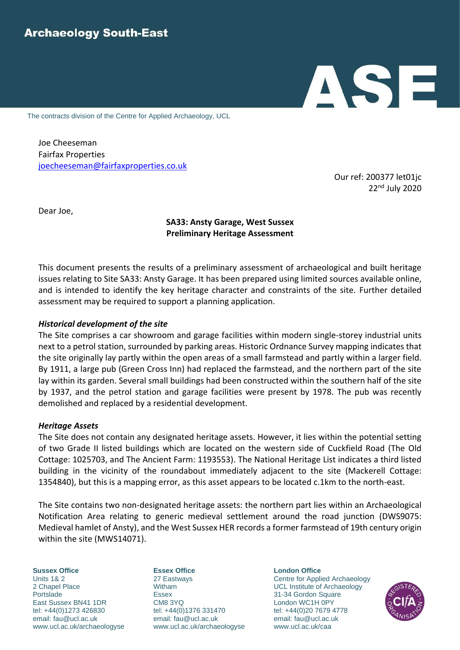# ASE

The contracts division of the Centre for Applied Archaeology, UCL

Joe Cheeseman Fairfax Properties [joecheeseman@fairfaxproperties.co.uk](mailto:joecheeseman@fairfaxproperties.co.uk)

> Our ref: 200377 let01jc 22nd July 2020

Dear Joe,

# **SA33: Ansty Garage, West Sussex Preliminary Heritage Assessment**

This document presents the results of a preliminary assessment of archaeological and built heritage issues relating to Site SA33: Ansty Garage. It has been prepared using limited sources available online, and is intended to identify the key heritage character and constraints of the site. Further detailed assessment may be required to support a planning application.

### *Historical development of the site*

The Site comprises a car showroom and garage facilities within modern single-storey industrial units next to a petrol station, surrounded by parking areas. Historic Ordnance Survey mapping indicates that the site originally lay partly within the open areas of a small farmstead and partly within a larger field. By 1911, a large pub (Green Cross Inn) had replaced the farmstead, and the northern part of the site lay within its garden. Several small buildings had been constructed within the southern half of the site by 1937, and the petrol station and garage facilities were present by 1978. The pub was recently demolished and replaced by a residential development.

### *Heritage Assets*

The Site does not contain any designated heritage assets. However, it lies within the potential setting of two Grade II listed buildings which are located on the western side of Cuckfield Road (The Old Cottage: 1025703, and The Ancient Farm: 1193553). The National Heritage List indicates a third listed building in the vicinity of the roundabout immediately adjacent to the site (Mackerell Cottage: 1354840), but this is a mapping error, as this asset appears to be located c.1km to the north-east.

The Site contains two non-designated heritage assets: the northern part lies within an Archaeological Notification Area relating to generic medieval settlement around the road junction (DWS9075: Medieval hamlet of Ansty), and the West Sussex HER records a former farmstead of 19th century origin within the site (MWS14071).

**Sussex Office Essex Office London Office** Units 1& 2 27 Eastways 27 Eastways Centre for Applied Archaeology 2 Chapel Place Witham UCL Institute of Archaeology Portslade **ESSEX** Essex 31-34 Gordon Square East Sussex BN41 1DR CM8 3YQ London WC1H 0PY tel: +44(0)1273 426830 tel: +44(0)1376 331470 tel: +44(0)20 7679 4778 email: [fau@ucl.ac.uk](mailto:fau@ucl.ac.uk) email: [fau@ucl.ac.uk](mailto:fau@ucl.ac.uk) email: [fau@ucl.ac.uk](mailto:fau@ucl.ac.uk) [www.ucl.ac.uk/archaeologyse](http://www.archaeologyse.co.uk/) [www.ucl.ac.uk/archaeologyse](http://www.archaeologyse.co.uk/) www.ucl.ac.uk/caa